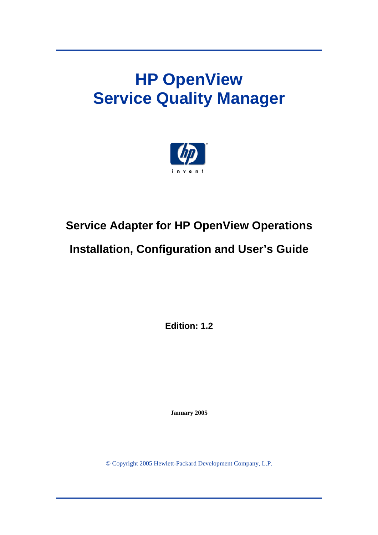# **HP OpenView Service Quality Manager**



# **Service Adapter for HP OpenView Operations**

# **Installation, Configuration and User's Guide**

**Edition: 1.2** 

**January 2005** 

© Copyright 2005 Hewlett-Packard Development Company, L.P.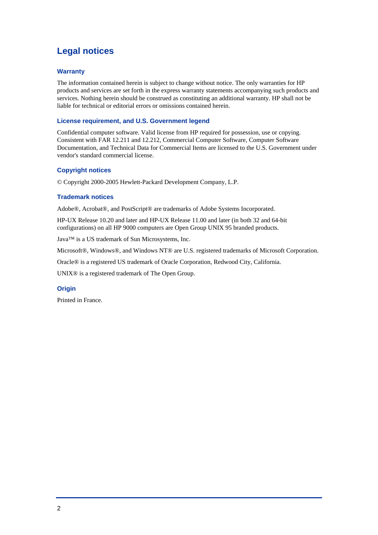## **Legal notices**

### **Warranty**

The information contained herein is subject to change without notice. The only warranties for HP products and services are set forth in the express warranty statements accompanying such products and services. Nothing herein should be construed as constituting an additional warranty. HP shall not be liable for technical or editorial errors or omissions contained herein.

### **License requirement, and U.S. Government legend**

Confidential computer software. Valid license from HP required for possession, use or copying. Consistent with FAR 12.211 and 12.212, Commercial Computer Software, Computer Software Documentation, and Technical Data for Commercial Items are licensed to the U.S. Government under vendor's standard commercial license.

### **Copyright notices**

© Copyright 2000-2005 Hewlett-Packard Development Company, L.P.

### **Trademark notices**

Adobe®, Acrobat®, and PostScript® are trademarks of Adobe Systems Incorporated.

HP-UX Release 10.20 and later and HP-UX Release 11.00 and later (in both 32 and 64-bit configurations) on all HP 9000 computers are Open Group UNIX 95 branded products.

Java™ is a US trademark of Sun Microsystems, Inc.

Microsoft®, Windows®, and Windows NT® are U.S. registered trademarks of Microsoft Corporation.

Oracle® is a registered US trademark of Oracle Corporation, Redwood City, California.

UNIX® is a registered trademark of The Open Group.

#### **Origin**

Printed in France.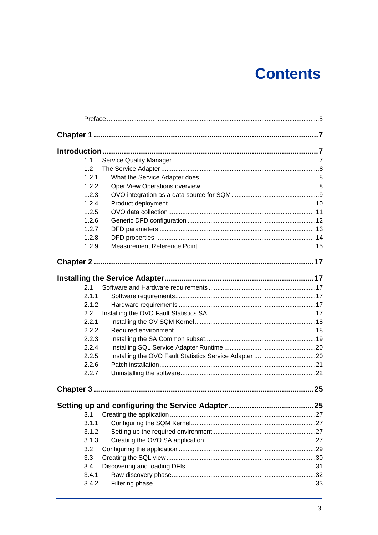# **Contents**

|           | 1.1          |  |    |  |
|-----------|--------------|--|----|--|
|           | 1.2          |  |    |  |
|           | 1.2.1        |  |    |  |
|           | 1.2.2        |  |    |  |
|           | 1.2.3        |  |    |  |
|           | 1.2.4        |  |    |  |
|           | 1.2.5        |  |    |  |
|           | 1.2.6        |  |    |  |
|           | 1.2.7        |  |    |  |
|           | 1.2.8        |  |    |  |
|           | 1.2.9        |  |    |  |
|           |              |  |    |  |
|           |              |  |    |  |
|           |              |  |    |  |
|           | 2.1          |  |    |  |
|           | 2.1.1        |  |    |  |
|           | 2.1.2        |  |    |  |
|           | 2.2<br>2.2.1 |  |    |  |
|           | 2.2.2        |  |    |  |
|           | 2.2.3        |  |    |  |
|           | 2.2.4        |  |    |  |
|           | 2.2.5        |  |    |  |
|           | 2.2.6        |  |    |  |
|           | 2.2.7        |  |    |  |
|           |              |  |    |  |
| Chapter 3 |              |  | 25 |  |
|           |              |  |    |  |
|           | 3.1          |  |    |  |
|           | 3.1.1        |  |    |  |
|           | 3.1.2        |  |    |  |
|           | 3.1.3        |  |    |  |
|           | 3.2          |  |    |  |
|           | 3.3          |  |    |  |
|           | 3.4          |  |    |  |
|           | 3.4.1        |  |    |  |
|           | 3.4.2        |  |    |  |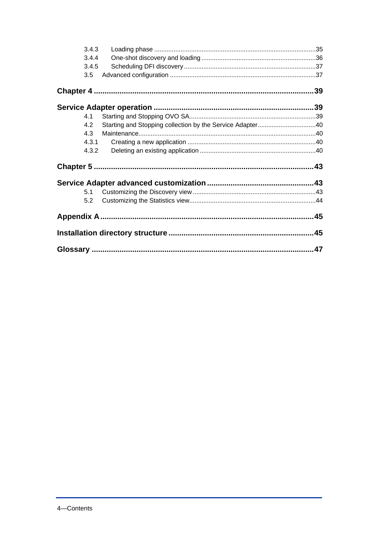| 3.4.3 |  |
|-------|--|
| 3.4.4 |  |
| 3.4.5 |  |
| 3.5   |  |
|       |  |
|       |  |
| 4.1   |  |
| 4.2   |  |
| 4.3   |  |
| 4.3.1 |  |
| 4.3.2 |  |
|       |  |
|       |  |
| 5.1   |  |
| 5.2   |  |
|       |  |
|       |  |
|       |  |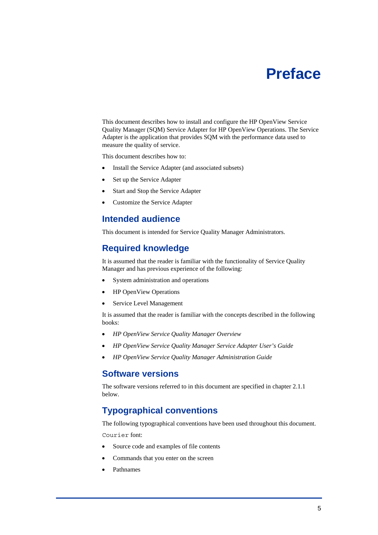# **Preface**

<span id="page-4-0"></span>This document describes how to install and configure the HP OpenView Service Quality Manager (SQM) Service Adapter for HP OpenView Operations. The Service Adapter is the application that provides SQM with the performance data used to measure the quality of service.

This document describes how to:

- Install the Service Adapter (and associated subsets)
- Set up the Service Adapter
- Start and Stop the Service Adapter
- Customize the Service Adapter

### **Intended audience**

This document is intended for Service Quality Manager Administrators.

### **Required knowledge**

It is assumed that the reader is familiar with the functionality of Service Quality Manager and has previous experience of the following:

- System administration and operations
- HP OpenView Operations
- Service Level Management

It is assumed that the reader is familiar with the concepts described in the following books:

- *HP OpenView Service Quality Manager Overview*
- *HP OpenView Service Quality Manager Service Adapter User's Guide*
- *HP OpenView Service Quality Manager Administration Guide*

### **Software versions**

The software versions referred to in this document are specified in chapter [2.1.1](#page-16-1)  below.

## **Typographical conventions**

The following typographical conventions have been used throughout this document.

Courier font:

- Source code and examples of file contents
- Commands that you enter on the screen
- Pathnames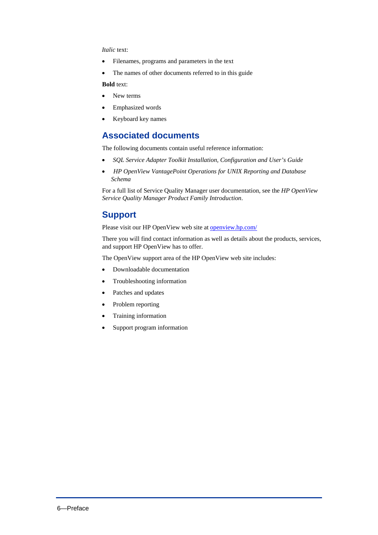### *Italic* text:

- Filenames, programs and parameters in the text
- The names of other documents referred to in this guide

**Bold** text:

- New terms
- Emphasized words
- Keyboard key names

### **Associated documents**

The following documents contain useful reference information:

- *SQL Service Adapter Toolkit Installation, Configuration and User's Guide*
- *HP OpenView VantagePoint Operations for UNIX Reporting and Database Schema*

For a full list of Service Quality Manager user documentation, see the *HP OpenView Service Quality Manager Product Family Introduction*.

### **Support**

Please visit our HP OpenView web site at [openview.hp.com/](http://openview.hp.com/)

There you will find contact information as well as details about the products, services, and support HP OpenView has to offer.

The OpenView support area of the HP OpenView web site includes:

- Downloadable documentation
- Troubleshooting information
- Patches and updates
- Problem reporting
- Training information
- Support program information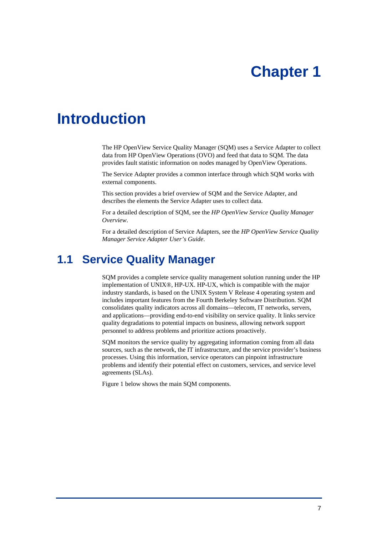# **Chapter 1**

# <span id="page-6-0"></span>**Introduction**

The HP OpenView Service Quality Manager (SQM) uses a Service Adapter to collect data from HP OpenView Operations (OVO) and feed that data to SQM. The data provides fault statistic information on nodes managed by OpenView Operations.

The Service Adapter provides a common interface through which SQM works with external components.

This section provides a brief overview of SQM and the Service Adapter, and describes the elements the Service Adapter uses to collect data.

For a detailed description of SQM, see the *HP OpenView Service Quality Manager Overview*.

For a detailed description of Service Adapters, see the *HP OpenView Service Quality Manager Service Adapter User's Guide*.

## **1.1 Service Quality Manager**

SQM provides a complete service quality management solution running under the HP implementation of UNIX®, HP-UX. HP-UX, which is compatible with the major industry standards, is based on the UNIX System V Release 4 operating system and includes important features from the Fourth Berkeley Software Distribution. SQM consolidates quality indicators across all domains—telecom, IT networks, servers, and applications—providing end-to-end visibility on service quality. It links service quality degradations to potential impacts on business, allowing network support personnel to address problems and prioritize actions proactively.

SQM monitors the service quality by aggregating information coming from all data sources, such as the network, the IT infrastructure, and the service provider's business processes. Using this information, service operators can pinpoint infrastructure problems and identify their potential effect on customers, services, and service level agreements (SLAs).

Figure 1 below shows the main SQM components.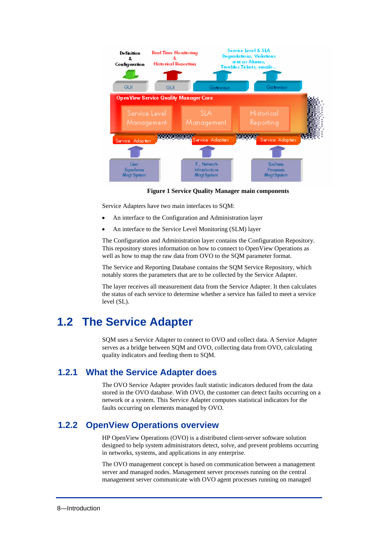<span id="page-7-0"></span>

**Figure 1 Service Quality Manager main components** 

Service Adapters have two main interfaces to SQM:

- An interface to the Configuration and Administration layer
- An interface to the Service Level Monitoring (SLM) layer

The Configuration and Administration layer contains the Configuration Repository. This repository stores information on how to connect to OpenView Operations as well as how to map the raw data from OVO to the SQM parameter format.

The Service and Reporting Database contains the SQM Service Repository, which notably stores the parameters that are to be collected by the Service Adapter.

The layer receives all measurement data from the Service Adapter. It then calculates the status of each service to determine whether a service has failed to meet a service level (SL).

## **1.2 The Service Adapter**

SQM uses a Service Adapter to connect to OVO and collect data. A Service Adapter serves as a bridge between SQM and OVO, collecting data from OVO, calculating quality indicators and feeding them to SQM.

### **1.2.1 What the Service Adapter does**

The OVO Service Adapter provides fault statistic indicators deduced from the data stored in the OVO database. With OVO, the customer can detect faults occurring on a network or a system. This Service Adapter computes statistical indicators for the faults occurring on elements managed by OVO.

### **1.2.2 OpenView Operations overview**

HP OpenView Operations (OVO) is a distributed client-server software solution designed to help system administrators detect, solve, and prevent problems occurring in networks, systems, and applications in any enterprise.

The OVO management concept is based on communication between a management server and managed nodes. Management server processes running on the central management server communicate with OVO agent processes running on managed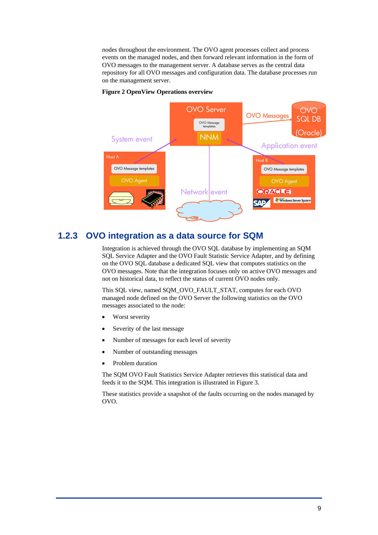<span id="page-8-0"></span>nodes throughout the environment. The OVO agent processes collect and process events on the managed nodes, and then forward relevant information in the form of OVO messages to the management server. A database serves as the central data repository for all OVO messages and configuration data. The database processes run on the management server.



#### **Figure 2 OpenView Operations overview**

### **1.2.3 OVO integration as a data source for SQM**

Integration is achieved through the OVO SQL database by implementing an SQM SQL Service Adapter and the OVO Fault Statistic Service Adapter, and by defining on the OVO SQL database a dedicated SQL view that computes statistics on the OVO messages. Note that the integration focuses only on active OVO messages and not on historical data, to reflect the status of current OVO nodes only.

This SQL view, named SQM\_OVO\_FAULT\_STAT, computes for each OVO managed node defined on the OVO Server the following statistics on the OVO messages associated to the node:

- Worst severity
- Severity of the last message
- Number of messages for each level of severity
- Number of outstanding messages
- Problem duration

The SQM OVO Fault Statistics Service Adapter retrieves this statistical data and feeds it to the SQM. This integration is illustrated in Figure 3.

These statistics provide a snapshot of the faults occurring on the nodes managed by OVO.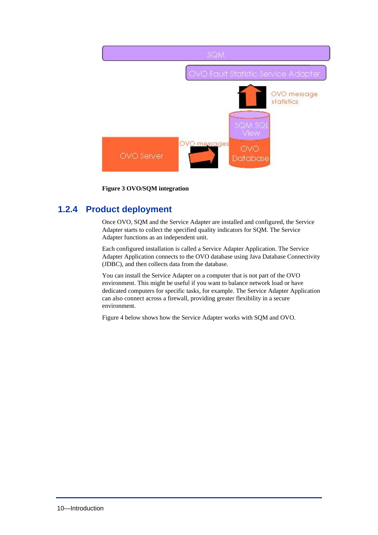<span id="page-9-0"></span>

**Figure 3 OVO/SQM integration** 

## **1.2.4 Product deployment**

Once OVO, SQM and the Service Adapter are installed and configured, the Service Adapter starts to collect the specified quality indicators for SQM. The Service Adapter functions as an independent unit.

Each configured installation is called a Service Adapter Application. The Service Adapter Application connects to the OVO database using Java Database Connectivity (JDBC), and then collects data from the database.

You can install the Service Adapter on a computer that is not part of the OVO environment. This might be useful if you want to balance network load or have dedicated computers for specific tasks, for example. The Service Adapter Application can also connect across a firewall, providing greater flexibility in a secure environment.

Figure 4 below shows how the Service Adapter works with SQM and OVO.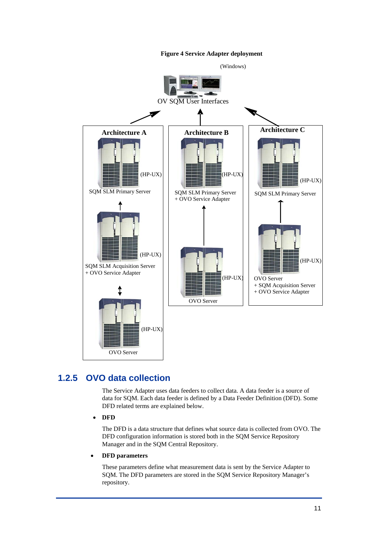**Figure 4 Service Adapter deployment** 

<span id="page-10-0"></span>

## **1.2.5 OVO data collection**

The Service Adapter uses data feeders to collect data. A data feeder is a source of data for SQM. Each data feeder is defined by a Data Feeder Definition (DFD). Some DFD related terms are explained below.

• **DFD** 

The DFD is a data structure that defines what source data is collected from OVO. The DFD configuration information is stored both in the SQM Service Repository Manager and in the SQM Central Repository.

• **DFD parameters** 

These parameters define what measurement data is sent by the Service Adapter to SQM. The DFD parameters are stored in the SQM Service Repository Manager's repository.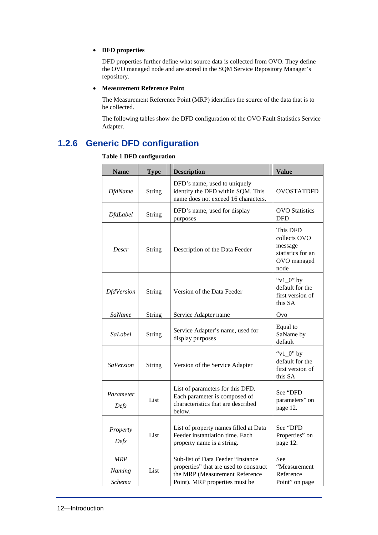### <span id="page-11-0"></span>• **DFD properties**

DFD properties further define what source data is collected from OVO. They define the OVO managed node and are stored in the SQM Service Repository Manager's repository.

### • **Measurement Reference Point**

The Measurement Reference Point (MRP) identifies the source of the data that is to be collected.

The following tables show the DFD configuration of the OVO Fault Statistics Service Adapter.

## **1.2.6 Generic DFD configuration**

### <span id="page-11-1"></span>**Table 1 DFD configuration**

| <b>Name</b>                    | <b>Type</b>   | <b>Description</b>                                                                                                                              | <b>Value</b>                                                                    |
|--------------------------------|---------------|-------------------------------------------------------------------------------------------------------------------------------------------------|---------------------------------------------------------------------------------|
| <b>DfdName</b>                 | String        | DFD's name, used to uniquely<br>identify the DFD within SQM. This<br>name does not exceed 16 characters.                                        | <b>OVOSTATDFD</b>                                                               |
| <b>DfdLabel</b>                | <b>String</b> | DFD's name, used for display<br>purposes                                                                                                        | <b>OVO</b> Statistics<br><b>DFD</b>                                             |
| Descr                          | String        | Description of the Data Feeder                                                                                                                  | This DFD<br>collects OVO<br>message<br>statistics for an<br>OVO managed<br>node |
| <b>DfdVersion</b>              | String        | Version of the Data Feeder                                                                                                                      | " $v1_0$ " by<br>default for the<br>first version of<br>this SA                 |
| SaName                         | <b>String</b> | Service Adapter name                                                                                                                            | Ovo                                                                             |
| SaLabel                        | <b>String</b> | Service Adapter's name, used for<br>display purposes                                                                                            | Equal to<br>SaName by<br>default                                                |
| <b>SaVersion</b>               | String        | Version of the Service Adapter                                                                                                                  | " $v1_0$ " by<br>default for the<br>first version of<br>this SA                 |
| Parameter<br>Defs              | List          | List of parameters for this DFD.<br>Each parameter is composed of<br>characteristics that are described<br>below.                               | See "DFD<br>parameters" on<br>page 12.                                          |
| Property<br>Defs               | List          | List of property names filled at Data<br>Feeder instantiation time. Each<br>property name is a string.                                          | See "DFD<br>Properties" on<br>page 12.                                          |
| <b>MRP</b><br>Naming<br>Schema | List          | Sub-list of Data Feeder "Instance<br>properties" that are used to construct<br>the MRP (Measurement Reference<br>Point). MRP properties must be | See<br>"Measurement<br>Reference<br>Point" on page                              |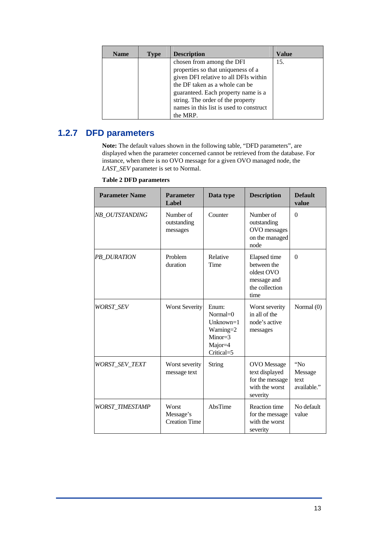<span id="page-12-0"></span>

| <b>Name</b> | <b>Type</b> | <b>Description</b>                                                                                                                                                                                                     | Value |
|-------------|-------------|------------------------------------------------------------------------------------------------------------------------------------------------------------------------------------------------------------------------|-------|
|             |             | chosen from among the DFI<br>properties so that uniqueness of a<br>given DFI relative to all DFIs within<br>the DF taken as a whole can be<br>guaranteed. Each property name is a<br>string. The order of the property | 15.   |
|             |             | names in this list is used to construct<br>the MRP.                                                                                                                                                                    |       |

## **1.2.7 DFD parameters**

**Note:** The default values shown in the following table, ["DFD parameters"](#page-12-1), are displayed when the parameter concerned cannot be retrieved from the database. For instance, when there is no OVO message for a given OVO managed node, the *LAST\_SEV* parameter is set to Normal.

<span id="page-12-1"></span>

| <b>Table 2 DFD parameters</b> |  |
|-------------------------------|--|
|                               |  |

| <b>Parameter Name</b>  | <b>Parameter</b><br>Label                  | Data type                                                                               | <b>Description</b>                                                                    | <b>Default</b><br>value               |
|------------------------|--------------------------------------------|-----------------------------------------------------------------------------------------|---------------------------------------------------------------------------------------|---------------------------------------|
| NB_OUTSTANDING         | Number of<br>outstanding<br>messages       | Counter                                                                                 | Number of<br>outstanding<br>OVO messages<br>on the managed<br>node                    | $\Omega$                              |
| PB_DURATION            | Problem<br>duration                        | Relative<br>Time                                                                        | Elapsed time<br>between the<br>oldest OVO<br>message and<br>the collection<br>time    | $\Omega$                              |
| WORST SEV              | <b>Worst Severity</b>                      | Enum:<br>Normal $=$ 0<br>$Unknown=1$<br>Warning=2<br>$Minor=3$<br>Major=4<br>Critical=5 | Worst severity<br>in all of the<br>node's active<br>messages                          | Normal (0)                            |
| WORST_SEV_TEXT         | Worst severity<br>message text             | String                                                                                  | <b>OVO</b> Message<br>text displayed<br>for the message<br>with the worst<br>severity | "No<br>Message<br>text<br>available." |
| <b>WORST TIMESTAMP</b> | Worst<br>Message's<br><b>Creation Time</b> | AbsTime                                                                                 | Reaction time<br>for the message<br>with the worst<br>severity                        | No default<br>value                   |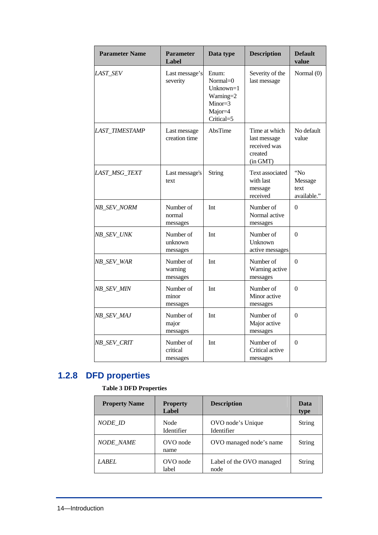<span id="page-13-0"></span>

| <b>Parameter Name</b> | <b>Parameter</b><br>Label         | Data type                                                                            | <b>Description</b>                                                   | <b>Default</b><br>value               |
|-----------------------|-----------------------------------|--------------------------------------------------------------------------------------|----------------------------------------------------------------------|---------------------------------------|
| LAST_SEV              | Last message's<br>severity        | Enum:<br>Normal=0<br>Unknown= $1$<br>Warning=2<br>$Minor=3$<br>Major=4<br>Critical=5 | Severity of the<br>last message                                      | Normal (0)                            |
| LAST_TIMESTAMP        | Last message<br>creation time     | AbsTime                                                                              | Time at which<br>last message<br>received was<br>created<br>(in GMT) | No default<br>value                   |
| LAST_MSG_TEXT         | Last message's<br>text            | String                                                                               | Text associated<br>with last<br>message<br>received                  | "No<br>Message<br>text<br>available." |
| NB_SEV_NORM           | Number of<br>normal<br>messages   | Int                                                                                  | Number of<br>Normal active<br>messages                               | $\Omega$                              |
| NB_SEV_UNK            | Number of<br>unknown<br>messages  | Int                                                                                  | Number of<br>Unknown<br>active messages                              | $\mathbf{0}$                          |
| NB_SEV_WAR            | Number of<br>warning<br>messages  | Int                                                                                  | Number of<br>Warning active<br>messages                              | $\Omega$                              |
| NB_SEV_MIN            | Number of<br>minor<br>messages    | Int                                                                                  | Number of<br>Minor active<br>messages                                | $\Omega$                              |
| NB_SEV_MAJ            | Number of<br>major<br>messages    | Int                                                                                  | Number of<br>Major active<br>messages                                | $\Omega$                              |
| NB_SEV_CRIT           | Number of<br>critical<br>messages | Int                                                                                  | Number of<br>Critical active<br>messages                             | $\Omega$                              |

# **1.2.8 DFD properties**

### <span id="page-13-1"></span>**Table 3 DFD Properties**

| <b>Property Name</b> | <b>Property</b><br>Label | <b>Description</b>               | Data<br>type |
|----------------------|--------------------------|----------------------------------|--------------|
| NODE ID              | Node<br>Identifier       | OVO node's Unique<br>Identifier  | String       |
| <b>NODE NAME</b>     | OVO node<br>name         | OVO managed node's name          | String       |
| LABEL                | OVO node<br>label        | Label of the OVO managed<br>node | String       |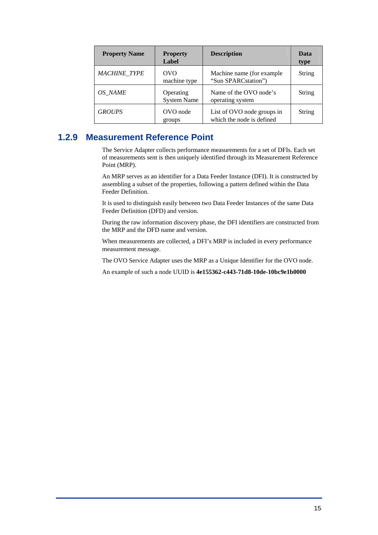<span id="page-14-0"></span>

| <b>Property Name</b> | <b>Property</b><br>Label        | <b>Description</b>                                      | Data<br>type |
|----------------------|---------------------------------|---------------------------------------------------------|--------------|
| <b>MACHINE TYPE</b>  | OVO<br>machine type             | Machine name (for example)<br>"Sun SPARCstation")       | String       |
| OS NAME              | Operating<br><b>System Name</b> | Name of the OVO node's<br>operating system              | String       |
| <b>GROUPS</b>        | OVO node<br>groups              | List of OVO node groups in<br>which the node is defined | String       |

## **1.2.9 Measurement Reference Point**

<span id="page-14-1"></span>The Service Adapter collects performance measurements for a set of DFIs. Each set of measurements sent is then uniquely identified through its Measurement Reference Point (MRP).

An MRP serves as an identifier for a Data Feeder Instance (DFI). It is constructed by assembling a subset of the properties, following a pattern defined within the Data Feeder Definition.

It is used to distinguish easily between two Data Feeder Instances of the same Data Feeder Definition (DFD) and version.

During the raw information discovery phase, the DFI identifiers are constructed from the MRP and the DFD name and version.

When measurements are collected, a DFI's MRP is included in every performance measurement message.

The OVO Service Adapter uses the MRP as a Unique Identifier for the OVO node.

An example of such a node UUID is **4e155362-c443-71d8-10de-10bc9e1b0000**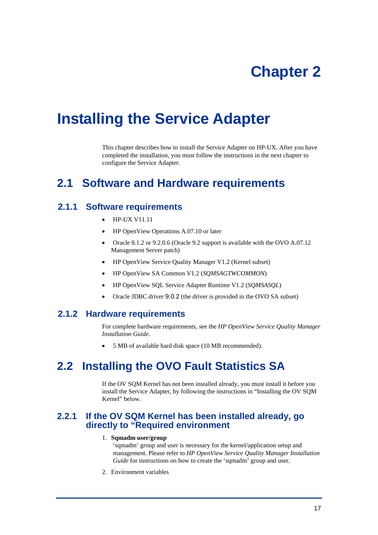# **Chapter 2**

# <span id="page-16-0"></span>**Installing the Service Adapter**

This chapter describes how to install the Service Adapter on HP-UX. After you have completed the installation, you must follow the instructions in the next chapter to configure the Service Adapter.

## **2.1 Software and Hardware requirements**

### **2.1.1 Software requirements**

- <span id="page-16-1"></span>• HP-UX V11.11
- HP OpenView Operations A.07.10 or later
- Oracle 8.1.2 or 9.2.0.6 (Oracle 9.2 support is available with the OVO A.07.12 Management Server patch)
- HP OpenView Service Quality Manager V1.2 (Kernel subset)
- HP OpenView SA Common V1.2 (*SQMSAGTWCOMMON*)
- HP OpenView SQL Service Adapter Runtime V1.2 (*SQMSASQL*)
- Oracle JDBC driver 9.0.2 (the driver is provided in the OVO SA subset)

### **2.1.2 Hardware requirements**

For complete hardware requirements, see the *HP OpenView Service Quality Manager Installation Guide*.

• 5 MB of available hard disk space (10 MB recommended).

# <span id="page-16-2"></span>**2.2 Installing the OVO Fault Statistics SA**

If the OV SQM Kernel has not been installed already, you must install it before you install the Service Adapter, by following the instructions in ["Installing the OV SQM](#page-17-1)  [Kernel"](#page-17-1) [below.](#page-17-1)

### **2.2.1 If the OV SQM Kernel has been installed already, go directly to "Required environment**

#### 1. **Sqmadm user/group**

'sqmadm' group and user is necessary for the kernel/application setup and management. Please refer to *HP OpenView Service Quality Manager Installation Guide* for instructions on how to create the 'sqmadm' group and user.

2. Environment variables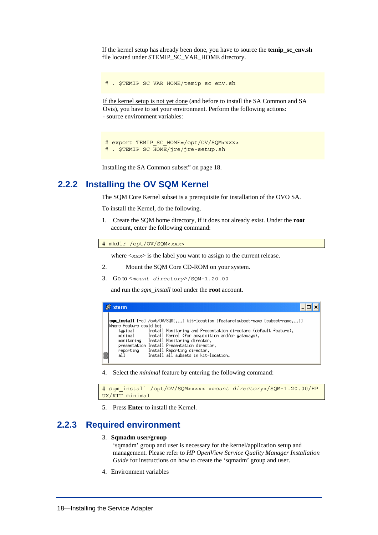<span id="page-17-0"></span>If the kernel setup has already been done, you have to source the **temip\_sc\_env.sh** file located under \$TEMIP\_SC\_VAR\_HOME directory.

# . \$TEMIP SC VAR HOME/temip sc env.sh

If the kernel setup is not yet done (and before to install the SA Common and SA Ovis), you have to set your environment. Perform the following actions: - source environment variables:

```
# export TEMIP SC HOME=/opt/OV/SQM<xxx>
# . $TEMIP_SC_HOME/jre/jre-setup.sh
```
Installing the SA Common subset" on page [18.](#page-18-1) 

### **2.2.2 Installing the OV SQM Kernel**

<span id="page-17-1"></span>The SQM Core Kernel subset is a prerequisite for installation of the OVO SA.

To install the Kernel, do the following.

Create the SQM home directory, if it does not already exist. Under the **root** 1. account, enter the following command:

# mkdir /opt/OV/SQM<*xxx*>

where  $\langle xxx \rangle$  is the label you want to assign to the current release.

- 2. Mount the SQM Core CD-ROM on your system.
- 3. Go to <*mount directory*>/SQM-1.20.00

and run the *sqm\_install* tool under the **root** account.

| xterm                   |                                                                                        |
|-------------------------|----------------------------------------------------------------------------------------|
| Where feature could be: | <b>som_install</b> [-o] /opt/OV/SQM[] kit-location [feature subset-name [subset-name]] |
| tupical                 | Install Monitoring and Presentation directors (default feature).                       |
| minimal                 | Install Kernel (for acquisition and/or gateways).                                      |
| monitoring              | Install Monitoring director.                                                           |
|                         | presentation Install Presentation director.                                            |
| reporting               | Install Reporting director.                                                            |
| all                     | Install all subsets in kit-location.                                                   |

4. Select the *minimal* feature by entering the following command:

# sqm\_install /opt/OV/SQM<xxx> <*mount directory*>/SQM-1.20.00/HP UX/KIT minimal

5. Press **Enter** to install the Kernel.

### **2.2.3 Required environment**

#### 3. **Sqmadm user/group**

'sqmadm' group and user is necessary for the kernel/application setup and management. Please refer to *HP OpenView Service Quality Manager Installation Guide* for instructions on how to create the 'sqmadm' group and user.

4. Environment variables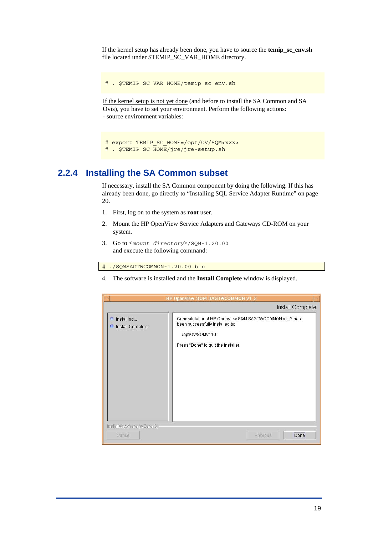<span id="page-18-0"></span>If the kernel setup has already been done, you have to source the **temip\_sc\_env.sh** file located under \$TEMIP\_SC\_VAR\_HOME directory.

# . \$TEMIP SC VAR\_HOME/temip\_sc\_env.sh

If the kernel setup is not yet done (and before to install the SA Common and SA Ovis), you have to set your environment. Perform the following actions: - source environment variables:

```
# export TEMIP SC HOME=/opt/OV/SQM<xxx>
# . $TEMIP_SC_HOME/jre/jre-setup.sh
```
### **2.2.4 Installing the SA Common subset**

If necessary, install the SA Common component by doing the following. If this has already been done, go directly to "[Installing SQL Service Adapter Runtime"](#page-19-1) on page [20.](#page-19-1) 

- 1. First, log on to the system as **root** user.
- 2. Mount the HP OpenView Service Adapters and Gateways CD-ROM on your system.
- 3. Go to <*mount directory*>/SQM-1.20.00 and execute the following command:

# ./SQMSAGTWCOMMON-1.20.00.bin

4. The software is installed and the **Install Complete** window is displayed.

<span id="page-18-1"></span>

|                                              | HP OpenView SQM SAGTWCOMMON v1_2<br>Install Complete                                                                                               |
|----------------------------------------------|----------------------------------------------------------------------------------------------------------------------------------------------------|
| Installing<br>n<br><b>n</b> Install Complete | Congratulations! HP OpenView SQM SAGTWCOMMON v1_2 has<br>been successfully installed to:<br>/opt/OV/SQMV110<br>Press "Done" to quit the installer. |
| InstallAnywhere by Zero G -<br>Cancel        | Done<br>Previous                                                                                                                                   |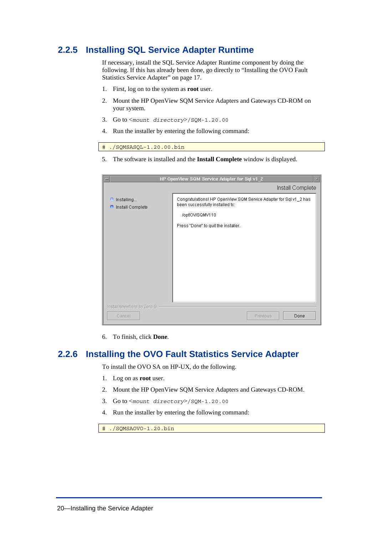## <span id="page-19-0"></span>**2.2.5 Installing SQL Service Adapter Runtime**

<span id="page-19-1"></span>If necessary, install the SQL Service Adapter Runtime component by doing the following. If this has already been done, go directly to ["Installing the OVO Fault](#page-19-2)  [Statistics Service Adapter"](#page-19-2) on page [17.](#page-16-2)

- 1. First, log on to the system as **root** user.
- 2. Mount the HP OpenView SQM Service Adapters and Gateways CD-ROM on your system.
- 3. Go to <*mount directory*>/SQM-1.20.00
- 4. Run the installer by entering the following command:

# ./SQMSASQL-1.20.00.bin

5. The software is installed and the **Install Complete** window is displayed.

| <b>ABOUT</b>                             | HP OpenView SQM Service Adapter for Sql v1_2                                                                                                                   |
|------------------------------------------|----------------------------------------------------------------------------------------------------------------------------------------------------------------|
|                                          | Install Complete                                                                                                                                               |
| Installing<br>n<br>Install Complete<br>G | Congratulations! HP OpenView SQM Service Adapter for Sql v1_2 has<br>been successfully installed to:<br>/opt/OV/SQMV110<br>Press "Done" to quit the installer. |
| InstallAnywhere by Zero G                |                                                                                                                                                                |
| Cancel                                   | Previous<br>Done                                                                                                                                               |

6. To finish, click **Done**.

### **2.2.6 Installing the OVO Fault Statistics Service Adapter**

<span id="page-19-2"></span>To install the OVO SA on HP-UX, do the following.

- 1. Log on as **root** user.
- 2. Mount the HP OpenView SQM Service Adapters and Gateways CD-ROM.
- 3. Go to <*mount directory*>/SQM-1.20.00
- 4. Run the installer by entering the following command:

# ./SQMSAOVO-1.20.bin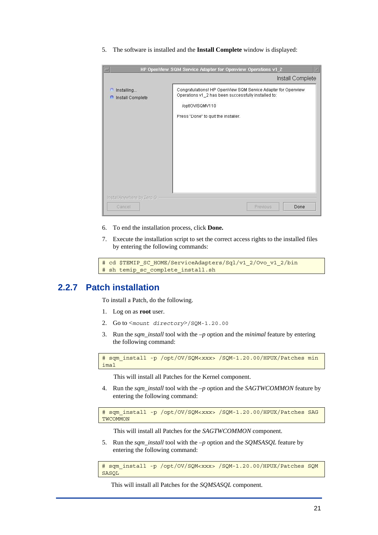<span id="page-20-0"></span>5. The software is installed and the **Install Complete** window is displayed:

| <b>Alleged</b>              | HP OpenView SQM Service Adapter for Openview Operations v1 2  |
|-----------------------------|---------------------------------------------------------------|
|                             | Install Complete                                              |
| Installing                  | Congratulations! HP OpenView SQM Service Adapter for Openview |
| n                           | Operations v1_2 has been successfully installed to:           |
| Install Complete            | /opt/OV/SQMV110                                               |
| в                           | Press "Done" to quit the installer.                           |
| InstallAnywhere by Zero G - | Done                                                          |
| Cancel                      | Previous                                                      |

- 6. To end the installation process, click **Done.**
- 7. Execute the installation script to set the correct access rights to the installed files by entering the following commands:

```
# cd $TEMIP_SC_HOME/ServiceAdapters/Sql/v1_2/Ovo_v1_2/bin 
# sh temip sc complete install.sh
```
### **2.2.7 Patch installation**

To install a Patch, do the following.

- 1. Log on as **root** user.
- 2. Go to <*mount directory*>/SQM-1.20.00
- 3. Run the *sqm\_install* tool with the *–p* option and the *minimal* feature by entering the following command:

```
# sqm_install -p /opt/OV/SQM<xxx> /SQM-1.20.00/HPUX/Patches min
imal
```
This will install all Patches for the Kernel component.

Run the *sqm\_install* tool with the *–p* option and the *SAGTWCOMMON* feature by 4. entering the following command:

# sqm\_install -p /opt/OV/SQM<*xxx*> /SQM-1.20.00/HPUX/Patches SAG **TWCOMMON** 

This will install all Patches for the *SAGTWCOMMON* component.

5. Run the *sqm\_install* tool with the -p option and the *SQMSASQL* feature by entering the following command:

```
# sqm_install -p /opt/OV/SQM<xxx> /SQM-1.20.00/HPUX/Patches SQM
SASQL
```
This will install all Patches for the *SQMSASQL* component.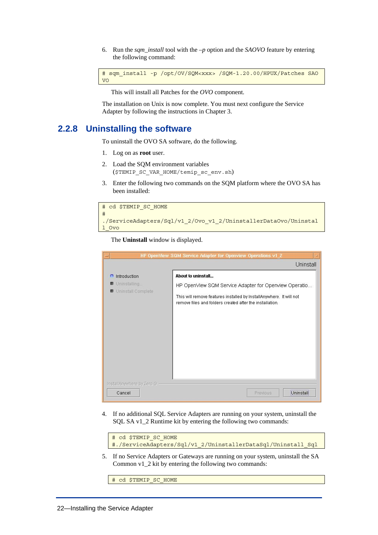<span id="page-21-0"></span>Run the *sqm\_install* tool with the *–p* option and the *SAOVO* feature by entering the following command: 6.

```
# sqm_install -p /opt/OV/SQM<xxx> /SQM-1.20.00/HPUX/Patches SAO
VO
```
This will install all Patches for the *OVO* component.

The installation on Unix is now complete. You must next configure the Service Adapter by following the instructions in [Chapter 3.](#page-24-1)

### **2.2.8 Uninstalling the software**

To uninstall the OVO SA software, do the following.

- 1. Log on as **root** user.
- 2. Load the SQM environment variables (\$TEMIP\_SC\_VAR\_HOME/temip\_sc\_env.sh)
- 3. Enter the following two commands on the SQM platform where the OVO SA has been installed:

```
# cd $TEMIP SC HOME
# 
./ServiceAdapters/Sql/v1_2/Ovo_v1_2/UninstallerDataOvo/Uninstal
l_Ovo
```
The **Uninstall** window is displayed.

| HP OpenView SQM Service Adapter for Openview Operations v1 2<br>▬ |                                                                                                                                 |  |
|-------------------------------------------------------------------|---------------------------------------------------------------------------------------------------------------------------------|--|
|                                                                   | Uninstall                                                                                                                       |  |
| Introduction<br>n.                                                | About to uninstall                                                                                                              |  |
| Uninstalling<br>Uninstall Complete<br>郡                           | HP OpenView SQM Service Adapter for Openview Operatio                                                                           |  |
|                                                                   | This will remove features installed by InstallAnywhere. It will not<br>remove files and folders created after the installation. |  |
|                                                                   |                                                                                                                                 |  |
|                                                                   |                                                                                                                                 |  |
|                                                                   |                                                                                                                                 |  |
|                                                                   |                                                                                                                                 |  |
|                                                                   |                                                                                                                                 |  |
|                                                                   |                                                                                                                                 |  |
| InstallAnywhere by Zero G -                                       |                                                                                                                                 |  |
| Cancel                                                            | Uninstall<br>Previous                                                                                                           |  |

4. If no additional SQL Service Adapters are running on your system, uninstall the SQL SA v1\_2 Runtime kit by entering the following two commands:



5. If no Service Adapters or Gateways are running on your system, uninstall the SA Common v1\_2 kit by entering the following two commands:

# cd \$TEMIP\_SC\_HOME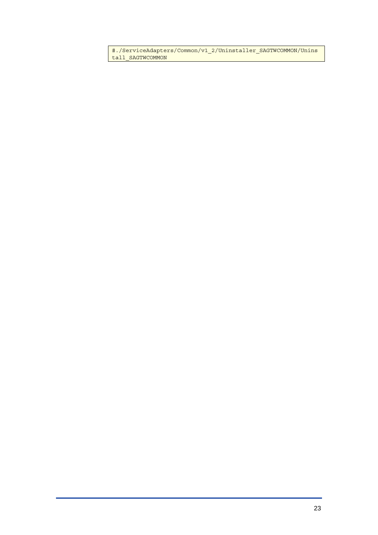#./ServiceAdapters/Common/v1\_2/Uninstaller\_SAGTWCOMMON/Unins tall\_SAGTWCOMMON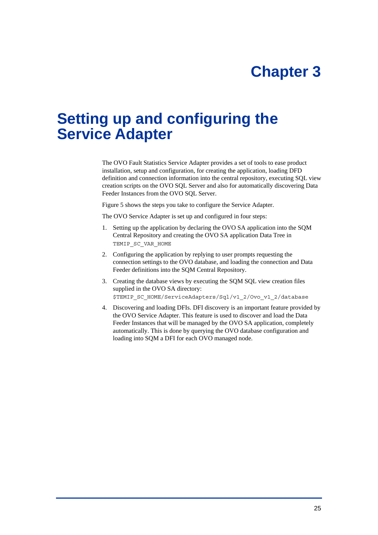# <span id="page-24-1"></span>**Chapter 3**

# <span id="page-24-0"></span>**Setting up and configuring the Service Adapter**

The OVO Fault Statistics Service Adapter provides a set of tools to ease product installation, setup and configuration, for creating the application, loading DFD definition and connection information into the central repository, executing SQL view creation scripts on the OVO SQL Server and also for automatically discovering Data Feeder Instances from the OVO SQL Server.

Figure 5 shows the steps you take to configure the Service Adapter.

The OVO Service Adapter is set up and configured in four steps:

- 1. Setting up the application by declaring the OVO SA application into the SQM Central Repository and creating the OVO SA application Data Tree in TEMIP\_SC\_VAR\_HOME
- 2. Configuring the application by replying to user prompts requesting the connection settings to the OVO database, and loading the connection and Data Feeder definitions into the SQM Central Repository.
- 3. Creating the database views by executing the SQM SQL view creation files supplied in the OVO SA directory: \$TEMIP\_SC\_HOME/ServiceAdapters/Sql/v1\_2/Ovo\_v1\_2/database
- 4. Discovering and loading DFIs. DFI discovery is an important feature provided by the OVO Service Adapter. This feature is used to discover and load the Data Feeder Instances that will be managed by the OVO SA application, completely automatically. This is done by querying the OVO database configuration and loading into SQM a DFI for each OVO managed node.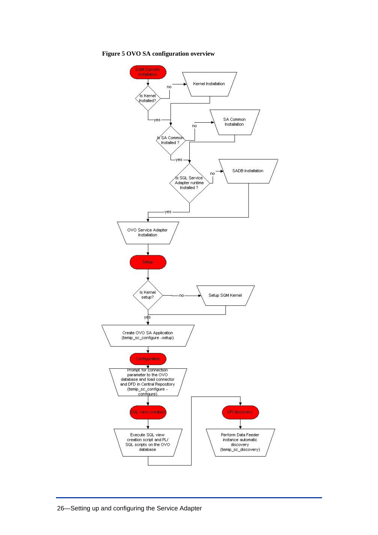**Figure 5 OVO SA configuration overview** 

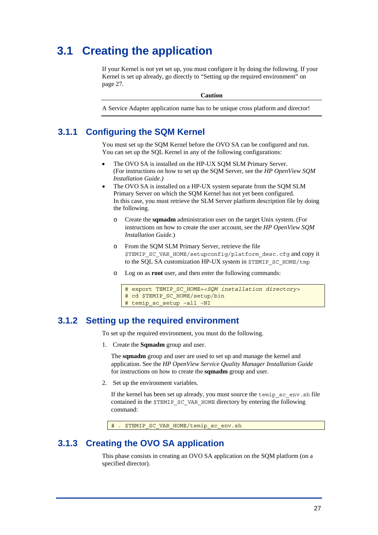# <span id="page-26-0"></span>**3.1 Creating the application**

If your Kernel is not yet set up, you must configure it by doing the following. If your Kernel is set up already, go directly to ["Setting up the required environment"](#page-26-1) on page [27.](#page-26-1) 

**Caution** 

A Service Adapter application name has to be unique cross platform and director!

## **3.1.1 Configuring the SQM Kernel**

You must set up the SQM Kernel before the OVO SA can be configured and run. You can set up the SQL Kernel in any of the following configurations:

- The OVO SA is installed on the HP-UX SQM SLM Primary Server. (For instructions on how to set up the SQM Server, see the *HP OpenView SQM Installation Guide.)*
- The OVO SA is installed on a HP-UX system separate from the SQM SLM Primary Server on which the SQM Kernel has not yet been configured. In this case, you must retrieve the SLM Server platform description file by doing the following.
	- o Create the **sqmadm** administration user on the target Unix system. (For instructions on how to create the user account, see the *HP OpenView SQM Installation Guide*.)
	- o From the SQM SLM Primary Server, retrieve the file \$TEMIP\_SC\_VAR\_HOME/setupconfig/platform\_desc.cfg and copy it to the SOL SA customization HP-UX system in \$TEMIP\_SC\_HOME/tmp
	- o Log on as **root** user, and then enter the following commands:

```
# export TEMIP_SC_HOME=<SQM installation directory>
# cd $TEMIP SC HOME/setup/bin
# temip_sc_setup –all –NI
```
### **3.1.2 Setting up the required environment**

<span id="page-26-1"></span>To set up the required environment, you must do the following.

Create the **Sqmadm** group and user. 1.

The **sqmadm** group and user are used to set up and manage the kernel and application. See the *HP OpenView Service Quality Manager Installation Guide* for instructions on how to create the **sqmadm** group and user.

2. Set up the environment variables.

If the kernel has been set up already, you must source the temip  $sc$  env.sh file contained in the \$TEMIP\_SC\_VAR\_HOME directory by entering the following command:

# . \$TEMIP SC VAR HOME/temip sc env.sh

### **3.1.3 Creating the OVO SA application**

<span id="page-26-2"></span>This phase consists in creating an OVO SA application on the SQM platform (on a specified director).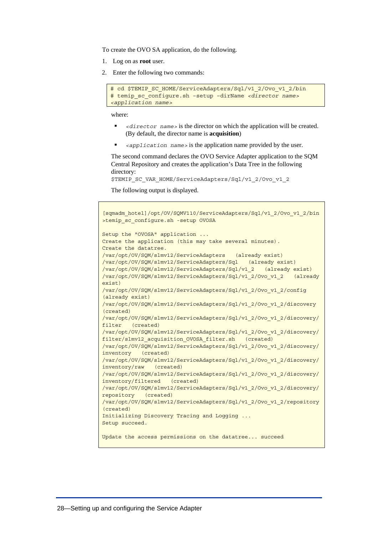To create the OVO SA application, do the following.

- 1. Log on as **root** user.
- 2. Enter the following two commands:

```
# cd $TEMIP_SC_HOME/ServiceAdapters/Sql/v1_2/Ovo_v1_2/bin 
# temip_sc_configure.sh –setup –dirName <director name>
<application name>
```
where:

- *<director name>* is the director on which the application will be created. (By default, the director name is **acquisition**)
- *<application name>* is the application name provided by the user.

The second command declares the OVO Service Adapter application to the SQM Central Repository and creates the application's Data Tree in the following directory:

\$TEMIP\_SC\_VAR\_HOME/ServiceAdapters/Sql/v1\_2/Ovo\_v1\_2

The following output is displayed.

```
[sqmadm_hotel]/opt/OV/SQMV110/ServiceAdapters/Sql/v1_2/Ovo_v1_2/bin
>temip_sc_configure.sh -setup OVOSA 
Setup the "OVOSA" application ... 
Create the application (this may take several minutes). 
Create the datatree. 
/var/opt/OV/SQM/slmv12/ServiceAdapters (already exist) 
/var/opt/OV/SQM/slmv12/ServiceAdapters/Sql (already exist) 
/var/opt/OV/SQM/slmv12/ServiceAdapters/Sql/v1_2 (already exist) 
/var/opt/OV/SQM/slmv12/ServiceAdapters/Sql/v1_2/Ovo_v1_2 (already 
exist) 
/var/opt/OV/SQM/slmv12/ServiceAdapters/Sql/v1_2/Ovo_v1_2/config 
(already exist) 
/var/opt/OV/SQM/slmv12/ServiceAdapters/Sql/v1_2/Ovo_v1_2/discovery 
(created) 
/var/opt/OV/SQM/slmv12/ServiceAdapters/Sql/v1_2/Ovo_v1_2/discovery/
filter (created) 
/var/opt/OV/SQM/slmv12/ServiceAdapters/Sql/v1_2/Ovo_v1_2/discovery/
filter/slmv12 acquisition OVOSA filter.sh (created)
/var/opt/OV/SQM/slmv12/ServiceAdapters/Sql/v1_2/Ovo_v1_2/discovery/
inventory (created) 
/var/opt/OV/SQM/slmv12/ServiceAdapters/Sql/v1_2/Ovo_v1_2/discovery/
inventory/raw (created) 
/var/opt/OV/SQM/slmv12/ServiceAdapters/Sql/v1_2/Ovo_v1_2/discovery/
inventory/filtered (created) 
/var/opt/OV/SQM/slmv12/ServiceAdapters/Sql/v1_2/Ovo_v1_2/discovery/
repository (created) 
/var/opt/OV/SQM/slmv12/ServiceAdapters/Sql/v1_2/Ovo_v1_2/repository 
(created) 
Initializing Discovery Tracing and Logging ... 
Setup succeed. 
Update the access permissions on the datatree... succeed
```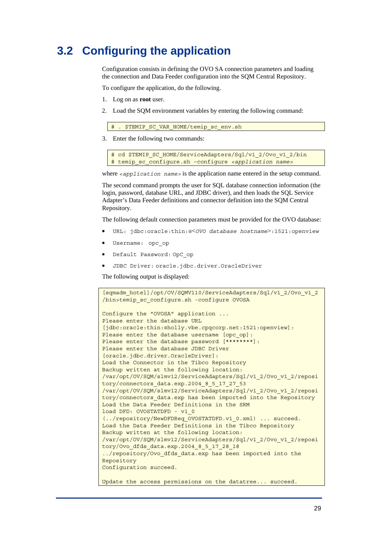# <span id="page-28-1"></span><span id="page-28-0"></span>**3.2 Configuring the application**

Configuration consists in defining the OVO SA connection parameters and loading the connection and Data Feeder configuration into the SQM Central Repository.

To configure the application, do the following.

- 1. Log on as **root** user.
- 2. Load the SQM environment variables by entering the following command:

\$TEMIP SC VAR HOME/temip sc env.sh

3. Enter the following two commands:

# cd \$TEMIP SC HOME/ServiceAdapters/Sql/v1\_2/Ovo\_v1\_2/bin # temip\_sc\_configure.sh –configure *<application name>*

where *<application name>* is the application name entered in the setup command.

The second command prompts the user for SQL database connection information (the login, password, database URL, and JDBC driver), and then loads the SQL Service Adapter's Data Feeder definitions and connector definition into the SQM Central Repository.

The following default connection parameters must be provided for the OVO database:

- URL: jdbc:oracle:thin:@<*OVO database hostname*>:1521:openview
- Username: opc\_op
- Default Password: OpC\_op
- JDBC Driver: oracle.jdbc.driver.OracleDriver

The following output is displayed:

```
[sqmadm_hotel]/opt/OV/SQMV110/ServiceAdapters/Sql/v1_2/Ovo_v1_2
/bin>temip_sc_configure.sh -configure OVOSA 
Configure the "OVOSA" application ... 
Please enter the database URL 
[jdbc:oracle:thin:@holly.vbe.cpqcorp.net:1521:openview]: 
Please enter the database username [opc op]:
Please enter the database password [********]:
Please enter the database JDBC Driver 
[oracle.jdbc.driver.OracleDriver]: 
Load the Connector in the Tibco Repository 
Backup written at the following location: 
/var/opt/OV/SQM/slmv12/ServiceAdapters/Sql/v1_2/Ovo_v1_2/reposi
tory/connectors data.exp.2004 8 5 17 27 53
/var/opt/OV/SQM/slmv12/ServiceAdapters/Sql/v1_2/Ovo_v1_2/reposi
tory/connectors_data.exp has been imported into the Repository 
Load the Data Feeder Definitions in the SRM 
load DFD: OVOSTATDFD - v1_0 
(../repository/NewDFDReq_OVOSTATDFD.v1_0.xml) ... succeed. 
Load the Data Feeder Definitions in the Tibco Repository 
Backup written at the following location: 
/var/opt/OV/SQM/slmv12/ServiceAdapters/Sql/v1_2/Ovo_v1_2/reposi
tory/Ovo_dfds_data.exp.2004_8_5_17_28_18 
../repository/Ovo_dfds_data.exp has been imported into the 
Repository 
Configuration succeed. 
Update the access permissions on the datatree... succeed.
```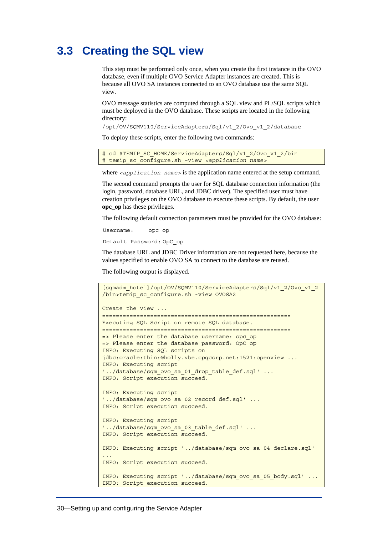# <span id="page-29-1"></span><span id="page-29-0"></span>**3.3 Creating the SQL view**

This step must be performed only once, when you create the first instance in the OVO database, even if multiple OVO Service Adapter instances are created. This is because all OVO SA instances connected to an OVO database use the same SQL view.

OVO message statistics are computed through a SQL view and PL/SQL scripts which must be deployed in the OVO database. These scripts are located in the following directory:

/opt/OV/SQMV110/ServiceAdapters/Sql/v1\_2/Ovo\_v1\_2/database

To deploy these scripts, enter the following two commands:

# cd \$TEMIP SC HOME/ServiceAdapters/Sql/v1\_2/Ovo\_v1\_2/bin # temip\_sc\_configure.sh –view *<application name>*

where *<application name>* is the application name entered at the setup command.

The second command prompts the user for SQL database connection information (the login, password, database URL, and JDBC driver). The specified user must have creation privileges on the OVO database to execute these scripts. By default, the user **opc** op has these privileges.

The following default connection parameters must be provided for the OVO database:

Username: opc\_op

Default Password: OpC\_op

The database URL and JDBC Driver information are not requested here, because the values specified to enable OVO SA to connect to the database are reused.

The following output is displayed.

```
[sqmadm_hotel]/opt/OV/SQMV110/ServiceAdapters/Sql/v1_2/Ovo_v1_2
/bin>temip_sc_configure.sh -view OVOSA2 
Create the view ... 
======================================================= 
Executing SQL Script on remote SQL database. 
======================================================= 
=> Please enter the database username: opc_op 
=> Please enter the database password: OpC_op 
INFO: Executing SQL scripts on 
jdbc:oracle:thin:@holly.vbe.cpqcorp.net:1521:openview ... 
INFO: Executing script 
'../database/sqm ovo sa 01 drop table def.sql' ...
INFO: Script execution succeed. 
INFO: Executing script 
'../database/sqm_ovo_sa_02_record_def.sql' ...
INFO: Script execution succeed. 
INFO: Executing script 
'../database/sqm ovo sa 03 table def.sql' ...
INFO: Script execution succeed. 
INFO: Executing script '../database/sqm_ovo_sa_04_declare.sql' 
... 
INFO: Script execution succeed. 
INFO: Executing script '../database/sqm_ovo_sa_05_body.sql' ... 
INFO: Script execution succeed.
```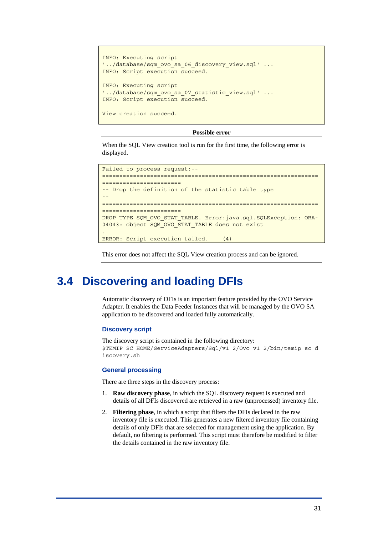```
INFO: Executing script 
'../database/sqm_ovo_sa_06_discovery_view.sql' ... 
INFO: Script execution succeed. 
INFO: Executing script 
'../database/sqm_ovo_sa_07_statistic_view.sql' ...
INFO: Script execution succeed. 
View creation succeed.
```
#### **Possible error**

When the SQL View creation tool is run for the first time, the following error is displayed.

```
Failed to process request:--
===============================================================
======================= 
-- Drop the definition of the statistic table type 
-- 
===============================================================
======================= 
DROP TYPE SQM_OVO_STAT_TABLE. Error:java.sql.SQLException: ORA-
04043: object SQM OVO STAT TABLE does not exist
. 
ERROR: Script execution failed. (4)
```
This error does not affect the SQL View creation process and can be ignored.

## <span id="page-30-1"></span>**3.4 Discovering and loading DFIs**

Automatic discovery of DFIs is an important feature provided by the OVO Service Adapter. It enables the Data Feeder Instances that will be managed by the OVO SA application to be discovered and loaded fully automatically.

#### **Discovery script**

The discovery script is contained in the following directory: \$TEMIP\_SC\_HOME/ServiceAdapters/Sql/v1\_2/Ovo\_v1\_2/bin/temip\_sc\_d iscovery.sh

#### **General processing**

There are three steps in the discovery process:

- **Raw discovery phase**, in which the SQL discovery request is executed and 1. details of all DFIs discovered are retrieved in a raw (unprocessed) inventory file.
- 2. **Filtering phase**, in which a script that filters the DFIs declared in the raw inventory file is executed. This generates a new filtered inventory file containing details of only DFIs that are selected for management using the application. By default, no filtering is performed. This script must therefore be modified to filter the details contained in the raw inventory file.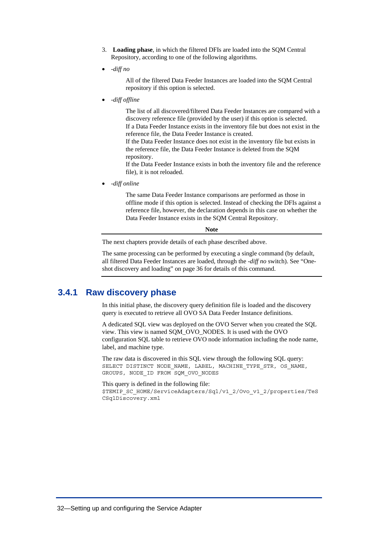- <span id="page-31-0"></span>**Loading phase**, in which the filtered DFIs are loaded into the SQM Central 3. Repository, according to one of the following algorithms.
- *-diff no*

All of the filtered Data Feeder Instances are loaded into the SQM Central repository if this option is selected.

• *-diff offline* 

The list of all discovered/filtered Data Feeder Instances are compared with a discovery reference file (provided by the user) if this option is selected. If a Data Feeder Instance exists in the inventory file but does not exist in the reference file, the Data Feeder Instance is created. If the Data Feeder Instance does not exist in the inventory file but exists in the reference file, the Data Feeder Instance is deleted from the SQM repository. If the Data Feeder Instance exists in both the inventory file and the reference file), it is not reloaded.

• *-diff online* 

The same Data Feeder Instance comparisons are performed as those in offline mode if this option is selected. Instead of checking the DFIs against a reference file, however, the declaration depends in this case on whether the Data Feeder Instance exists in the SQM Central Repository.

**Note** 

The next chapters provide details of each phase described above.

The same processing can be performed by executing a single command (by default, all filtered Data Feeder Instances are loaded, through the *-diff no* switch). See "[One](#page-35-1)[shot discovery](#page-35-1) and loading" on page [36](#page-35-1) for details of this command.

### **3.4.1 Raw discovery phase**

In this initial phase, the discovery query definition file is loaded and the discovery query is executed to retrieve all OVO SA Data Feeder Instance definitions.

A dedicated SQL view was deployed on the OVO Server when you created the SQL view. This view is named SQM\_OVO\_NODES. It is used with the OVO configuration SQL table to retrieve OVO node information including the node name, label, and machine type.

The raw data is discovered in this SQL view through the following SQL query: SELECT DISTINCT NODE NAME, LABEL, MACHINE TYPE STR, OS NAME, GROUPS, NODE\_ID FROM SQM\_OVO\_NODES

This query is defined in the following file: \$TEMIP SC HOME/ServiceAdapters/Sql/v1\_2/Ovo\_v1\_2/properties/TeS CSqlDiscovery.xml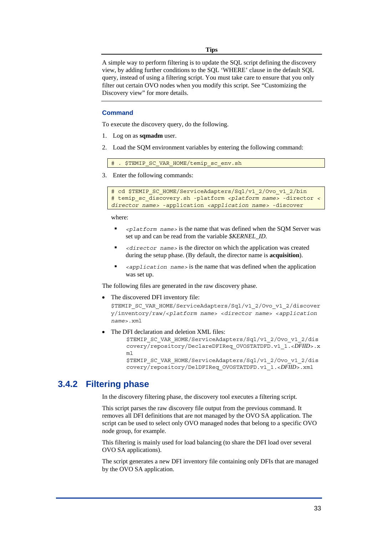**Tips** 

<span id="page-32-0"></span>A simple way to perform filtering is to update the SQL script defining the discovery view, by adding further conditions to the SQL 'WHERE' clause in the default SQL query, instead of using a filtering script. You must take care to ensure that you only filter out certain OVO nodes when you modify this script. See ["Customizing the](#page-42-1)  [Discovery view"](#page-42-1) for more details.

### **Command**

To execute the discovery query, do the following.

- 1. Log on as **sqmadm** user.
- 2. Load the SQM environment variables by entering the following command:

\$TEMIP\_SC\_VAR\_HOME/temip\_sc\_env.sh

3. Enter the following commands:

```
# cd $TEMIP SC HOME/ServiceAdapters/Sql/v1_2/Ovo_v1_2/bin
# temip_sc_discovery.sh -platform <platform name> -director <
director name> -application <application name> -discover
```
where:

- *<platform name>* is the name that was defined when the SQM Server was set up and can be read from the variable *\$KERNEL\_ID.*
- *<director name>* is the director on which the application was created during the setup phase. (By default, the director name is **acquisition**).
- *<application name>* is the name that was defined when the application was set up.

The following files are generated in the raw discovery phase.

The discovered DFI inventory file:

```
$TEMIP_SC_VAR_HOME/ServiceAdapters/Sql/v1_2/Ovo_v1_2/discover
y/inventory/raw/<platform name> <director name> <application 
name>.xml
```
The DFI declaration and deletion XML files:

\$TEMIP SC VAR HOME/ServiceAdapters/Sql/v1\_2/Ovo\_v1\_2/dis covery/repository/DeclareDFIReq\_OVOSTATDFD.v1\_1.<*DFIID*>.x ml

\$TEMIP SC VAR HOME/ServiceAdapters/Sql/v1\_2/Ovo\_v1\_2/dis covery/repository/DelDFIReq\_OVOSTATDFD.v1\_1.<*DFIID*>.xml

### **3.4.2 Filtering phase**

In the discovery filtering phase, the discovery tool executes a filtering script.

This script parses the raw discovery file output from the previous command. It removes all DFI definitions that are not managed by the OVO SA application. The script can be used to select only OVO managed nodes that belong to a specific OVO node group, for example.

This filtering is mainly used for load balancing (to share the DFI load over several OVO SA applications).

The script generates a new DFI inventory file containing only DFIs that are managed by the OVO SA application.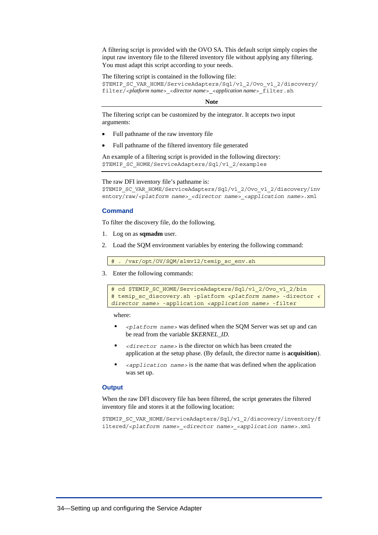A filtering script is provided with the OVO SA. This default script simply copies the input raw inventory file to the filtered inventory file without applying any filtering. You must adapt this script according to your needs.

The filtering script is contained in the following file:

\$TEMIP\_SC\_VAR\_HOME/ServiceAdapters/Sql/v1\_2/Ovo\_v1\_2/discovery/ filter/<*platform name*>\_<*director name*>\_<*application name*>\_filter.sh

#### **Note**

The filtering script can be customized by the integrator. It accepts two input arguments:

- Full pathname of the raw inventory file
- Full pathname of the filtered inventory file generated

An example of a filtering script is provided in the following directory: \$TEMIP\_SC\_HOME/ServiceAdapters/Sql/v1\_2/examples

The raw DFI inventory file's pathname is:

```
$TEMIP_SC_VAR_HOME/ServiceAdapters/Sql/v1_2/Ovo_v1_2/discovery/inv
entory/raw/<platform name>_<director name>_<application name>.xml
```
#### **Command**

To filter the discovery file, do the following.

- 1. Log on as **sqmadm** user.
- 2. Load the SQM environment variables by entering the following command:

```
# . /var/opt/OV/SQM/slmv12/temip sc env.sh
```
3. Enter the following commands:

```
# cd $TEMIP SC HOME/ServiceAdapters/Sql/v1_2/Ovo_v1_2/bin
# temip_sc_discovery.sh -platform <platform name> -director <
director name> -application <application name> -filter
```
where:

- *<platform name>* was defined when the SQM Server was set up and can be read from the variable *\$KERNEL\_ID.*
- *<director name>* is the director on which has been created the application at the setup phase. (By default, the director name is **acquisition**).
- *<application name>* is the name that was defined when the application was set up.

#### **Output**

When the raw DFI discovery file has been filtered, the script generates the filtered inventory file and stores it at the following location:

\$TEMIP\_SC\_VAR\_HOME/ServiceAdapters/Sql/v1\_2/discovery/inventory/f iltered/<*platform name*>\_*<director name>*\_*<application name>*.xml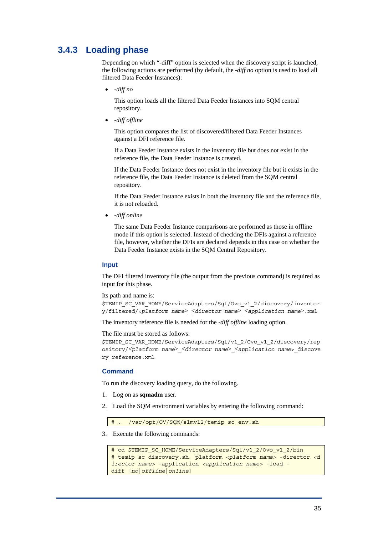## <span id="page-34-0"></span>**3.4.3 Loading phase**

Depending on which "-diff" option is selected when the discovery script is launched, the following actions are performed (by default, the *-diff no* option is used to load all filtered Data Feeder Instances):

• *-diff no*

This option loads all the filtered Data Feeder Instances into SQM central repository.

• *-diff offline* 

This option compares the list of discovered/filtered Data Feeder Instances against a DFI reference file.

If a Data Feeder Instance exists in the inventory file but does not exist in the reference file, the Data Feeder Instance is created.

If the Data Feeder Instance does not exist in the inventory file but it exists in the reference file, the Data Feeder Instance is deleted from the SQM central repository.

If the Data Feeder Instance exists in both the inventory file and the reference file, it is not reloaded.

• *-diff online* 

The same Data Feeder Instance comparisons are performed as those in offline mode if this option is selected. Instead of checking the DFIs against a reference file, however, whether the DFIs are declared depends in this case on whether the Data Feeder Instance exists in the SQM Central Repository.

#### **Input**

The DFI filtered inventory file (the output from the previous command) is required as input for this phase.

Its path and name is:

\$TEMIP SC VAR HOME/ServiceAdapters/Sql/Ovo v1 2/discovery/inventor y/filtered/<*platform name*>\_<*director name*>\_<*application name*>.xml

The inventory reference file is needed for the *-diff offline* loading option.

The file must be stored as follows:

\$TEMIP SC VAR HOME/ServiceAdapters/Sql/v1\_2/Ovo\_v1\_2/discovery/rep ository/<*platform name*>\_<*director name*>\_<*application name*>\_discove ry\_reference.xml

### **Command**

To run the discovery loading query, do the following.

- 1. Log on as **sqmadm** user.
- 2. Load the SQM environment variables by entering the following command:

# . /var/opt/OV/SQM/slmv12/temip sc env.sh

3. Execute the following commands:

```
# cd $TEMIP SC HOME/ServiceAdapters/Sql/v1_2/Ovo_v1_2/bin
# temip_sc_discovery.sh platform <platform name> -director <d
irector name> -application <application name> -load –
diff [no|offline|online]
```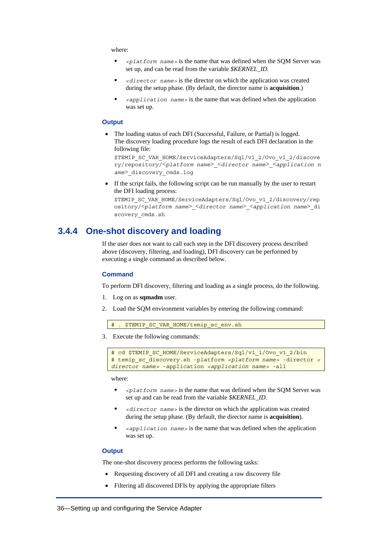<span id="page-35-0"></span>where:

- *<platform name>* is the name that was defined when the SQM Server was set up, and can be read from the variable *\$KERNEL\_ID.*
- *<director name>* is the director on which the application was created during the setup phase. (By default, the director name is **acquisition**.)
- *<application name>* is the name that was defined when the application was set up.

#### **Output**

• The loading status of each DFI (Successful, Failure, or Partial) is logged. The discovery loading procedure logs the result of each DFI declaration in the following file:

\$TEMIP SC VAR HOME/ServiceAdapters/Sql/v1\_2/Ovo\_v1\_2/discove ry/repository/<*platform name*>\_<*director name*>\_<*application n ame*>\_discovery\_cmds.log

• If the script fails, the following script can be run manually by the user to restart the DFI loading process:

```
$TEMIP_SC_VAR_HOME/ServiceAdapters/Sql/Ovo_v1_2/discovery/rep
ository/<platform name>_<director name>_<application name>_di
scovery_cmds.sh
```
### **3.4.4 One-shot discovery and loading**

<span id="page-35-1"></span>If the user does not want to call each step in the DFI discovery process described above (discovery, filtering, and loading), DFI discovery can be performed by executing a single command as described below.

#### **Command**

To perform DFI discovery, filtering and loading as a single process, do the following.

- 1. Log on as **sqmadm** user.
- 2. Load the SQM environment variables by entering the following command:

```
$TEMIP SC VAR HOME/temip sc_env.sh
```
3. Execute the following commands:

```
# cd $TEMIP SC HOME/ServiceAdapters/Sql/v1_1/Ovo_v1_2/bin
# temip_sc_discovery.sh -platform <platform name> -director <
director name> -application <application name> -all
```
where:

- *<platform name>* is the name that was defined when the SQM Server was set up and can be read from the variable *\$KERNEL\_ID.*
- *<director name>* is the director on which the application was created during the setup phase. (By default, the director name is **acquisition**).
- *<application name>* is the name that was defined when the application was set up.

#### **Output**

The one-shot discovery process performs the following tasks:

- Requesting discovery of all DFI and creating a raw discovery file
- Filtering all discovered DFIs by applying the appropriate filters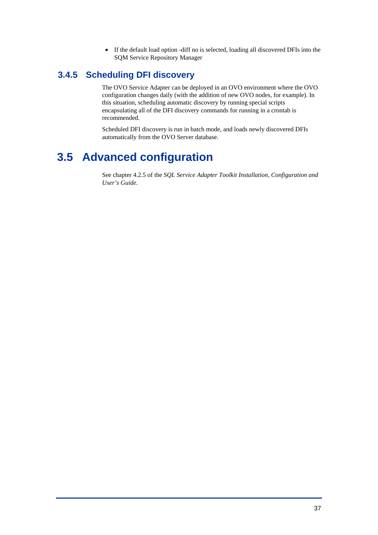• If the default load option -diff no is selected, loading all discovered DFIs into the SQM Service Repository Manager

## <span id="page-36-0"></span>**3.4.5 Scheduling DFI discovery**

The OVO Service Adapter can be deployed in an OVO environment where the OVO configuration changes daily (with the addition of new OVO nodes, for example). In this situation, scheduling automatic discovery by running special scripts encapsulating all of the DFI discovery commands for running in a crontab is recommended.

Scheduled DFI discovery is run in batch mode, and loads newly discovered DFIs automatically from the OVO Server database.

# **3.5 Advanced configuration**

See chapter 4.2.5 of the *SQL Service Adapter Toolkit Installation, Configuration and User's Guide*.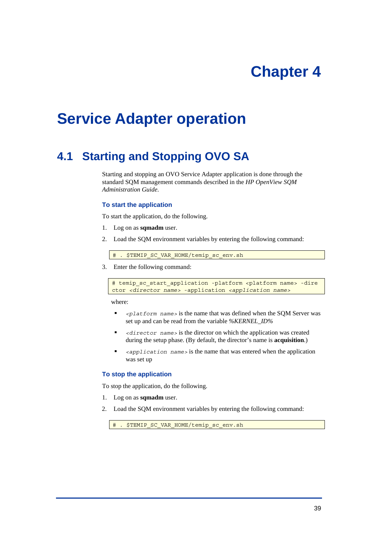# **Chapter 4**

# <span id="page-38-0"></span>**Service Adapter operation**

# <span id="page-38-1"></span>**4.1 Starting and Stopping OVO SA**

Starting and stopping an OVO Service Adapter application is done through the standard SQM management commands described in the *HP OpenView SQM Administration Guide*.

#### **To start the application**

To start the application, do the following.

- 1. Log on as **sqmadm** user.
- 2. Load the SQM environment variables by entering the following command:

# . \$TEMIP SC VAR HOME/temip sc\_env.sh

3. Enter the following command:

# temip sc start application -platform <platform name> -dire ctor *<director name>* -application *<application name>*

where:

- *<platform name>* is the name that was defined when the SQM Server was set up and can be read from the variable *%KERNEL\_ID%*
- *<director name>* is the director on which the application was created during the setup phase. (By default, the director's name is **acquisition**.)
- *<application name>* is the name that was entered when the application was set up

#### **To stop the application**

To stop the application, do the following.

- 1. Log on as **sqmadm** user.
- 2. Load the SQM environment variables by entering the following command:

# . \$TEMIP SC VAR HOME/temip sc env.sh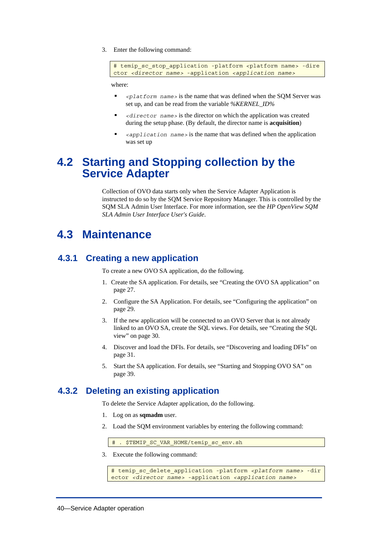<span id="page-39-0"></span>3. Enter the following command:

```
# temip sc stop application -platform <platform name> -dire
ctor <director name> -application <application name>
```
where:

- *<platform name>* is the name that was defined when the SQM Server was set up, and can be read from the variable *%KERNEL\_ID%*
- *<director name>* is the director on which the application was created during the setup phase. (By default, the director name is **acquisition**)
- *<application name>* is the name that was defined when the application was set up

## **4.2 Starting and Stopping collection by the Service Adapter**

Collection of OVO data starts only when the Service Adapter Application is instructed to do so by the SQM Service Repository Manager. This is controlled by the SQM SLA Admin User Interface. For more information, see the *HP OpenView SQM SLA Admin User Interface User's Guide*.

# **4.3 Maintenance**

## **4.3.1 Creating a new application**

To create a new OVO SA application, do the following.

- 1. Create the SA application. For details, see ["Creating the OVO SA application"](#page-26-2) on page [27.](#page-26-2)
- 2. Configure the SA Application. For details, see ["Configuring the application"](#page-28-1) on page [29.](#page-28-1)
- 3. If the new application will be connected to an OVO Server that is not already linked to an OVO SA, create the SQL views. For details, see ["Creating the SQL](#page-29-1)  [view"](#page-29-1) on page [30.](#page-29-1)
- 4. Discover and load the DFIs. For details, see "[Discovering and loading DFIs"](#page-30-1) on page [31.](#page-30-1)
- 5. Start the SA application. For details, see "[Starting and Stopping OVO SA"](#page-38-1) on page [39.](#page-38-1)

## **4.3.2 Deleting an existing application**

To delete the Service Adapter application, do the following.

- 1. Log on as **sqmadm** user.
- 2. Load the SQM environment variables by entering the following command:

```
# . $TEMIP SC VAR HOME/temip sc env.sh
```
3. Execute the following command:

```
# temip_sc_delete_application -platform <platform name> -dir
ector <director name> -application <application name>
```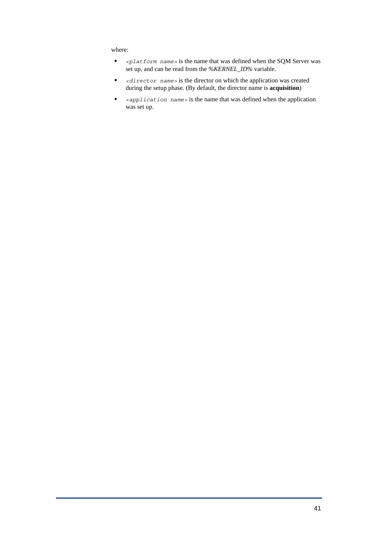where:

- *<platform name>* is the name that was defined when the SQM Server was set up, and can be read from the *%KERNEL\_ID%* variable.
- *<director name>* is the director on which the application was created during the setup phase. (By default, the director name is **acquisition**)
- *<application name>* is the name that was defined when the application was set up.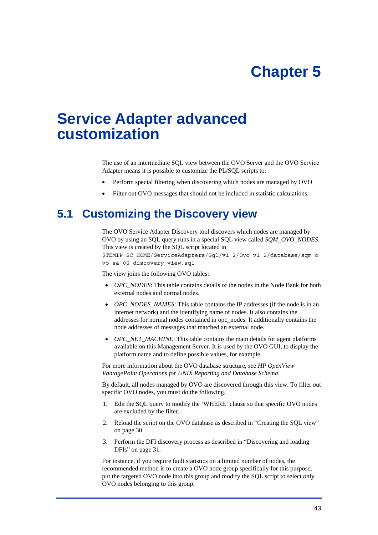# **Chapter 5**

# <span id="page-42-0"></span>**Service Adapter advanced customization**

The use of an intermediate SQL view between the OVO Server and the OVO Service Adapter means it is possible to customize the PL/SQL scripts to:

- Perform special filtering when discovering which nodes are managed by OVO
- Filter out OVO messages that should not be included in statistic calculations

# <span id="page-42-1"></span>**5.1 Customizing the Discovery view**

The OVO Service Adapter Discovery tool discovers which nodes are managed by OVO by using an SQL query runs in a special SQL view called *SQM\_OVO\_NODES*. This view is created by the SQL script located in \$TEMIP\_SC\_HOME/ServiceAdapters/Sql/v1\_2/Ovo\_v1\_2/database/sqm\_o vo\_sa\_06\_discovery\_view.sql

The view joins the following OVO tables:

- *OPC\_NODES*: This table contains details of the nodes in the Node Bank for both external nodes and normal nodes.
- *OPC\_NODES\_NAMES*: This table contains the IP addresses (if the node is in an internet network) and the identifying name of nodes. It also contains the addresses for normal nodes contained in opc\_nodes. It additionally contains the node addresses of messages that matched an external node.
- *OPC\_NET\_MACHINE*: This table contains the main details for agent platforms available on this Management Server. It is used by the OVO GUI, to display the platform name and to define possible values, for example.

For more information about the OVO database structure, see *HP OpenView VantagePoint Operations for UNIX Reporting and Database Schema*.

By default, all nodes managed by OVO are discovered through this view. To filter out specific OVO nodes, you must do the following.

- 1. Edit the SQL query to modify the 'WHERE' clause so that specific OVO nodes are excluded by the filter.
- 2. Reload the script on the OVO database as described in ["Creating the SQL view"](#page-29-1) on page [30.](#page-29-1)
- 3. Perform the DFI discovery process as described in "[Discovering and loading](#page-30-1)  [DFIs"](#page-30-1) on page [31.](#page-30-1)

For instance, if you require fault statistics on a limited number of nodes, the recommended method is to create a OVO node group specifically for this purpose, put the targeted OVO node into this group and modify the SQL script to select only OVO nodes belonging to this group.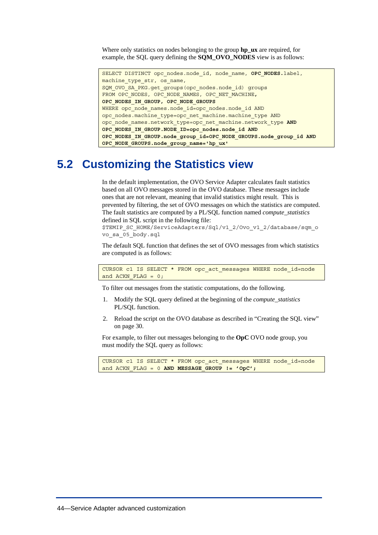<span id="page-43-0"></span>Where only statistics on nodes belonging to the group **hp\_ux** are required, for example, the SQL query defining the **SQM\_OVO\_NODES** view is as follows:

```
SELECT DISTINCT opc_nodes.node_id, node_name, OPC_NODES.label, 
machine type str, os name,
SQM_OVO_SA_PKG.get_groups(opc_nodes.node_id) groups 
FROM OPC_NODES, OPC_NODE_NAMES, OPC_NET_MACHINE, 
OPC_NODES_IN_GROUP, OPC_NODE_GROUPS
WHERE opc node names.node id=opc nodes.node id AND
opc_nodes.machine_type=opc_net_machine.machine_type AND 
opc_node_names.network_type=opc_net_machine.network_type AND 
OPC_NODES_IN_GROUP.NODE_ID=opc_nodes.node_id AND 
OPC_NODES_IN_GROUP.node_group_id=OPC_NODE_GROUPS.node_group_id AND 
OPC_NODE_GROUPS.node_group_name='hp_ux'
```
# **5.2 Customizing the Statistics view**

In the default implementation, the OVO Service Adapter calculates fault statistics based on all OVO messages stored in the OVO database. These messages include ones that are not relevant, meaning that invalid statistics might result. This is prevented by filtering, the set of OVO messages on which the statistics are computed. The fault statistics are computed by a PL/SQL function named *compute\_statistics* defined in SQL script in the following file:

\$TEMIP\_SC\_HOME/ServiceAdapters/Sql/v1\_2/Ovo\_v1\_2/database/sqm\_o vo\_sa\_05\_body.sql

The default SQL function that defines the set of OVO messages from which statistics are computed is as follows:

CURSOR c1 IS SELECT \* FROM opc\_act\_messages WHERE node\_id=node and  $ACKN$   $FLAG = 0$ ;

To filter out messages from the statistic computations, do the following.

- 1. Modify the SQL query defined at the beginning of the *compute\_statistics* PL/SQL function.
- 2. Reload the script on the OVO database as described in ["Creating the SQL view"](#page-29-1) on page [30.](#page-29-1)

For example, to filter out messages belonging to the **OpC** OVO node group, you must modify the SQL query as follows:

```
CURSOR c1 IS SELECT * FROM opc_act_messages WHERE node_id=node 
and ACKN FLAG = 0 AND MESSAGE GROUP != 'OpC';
```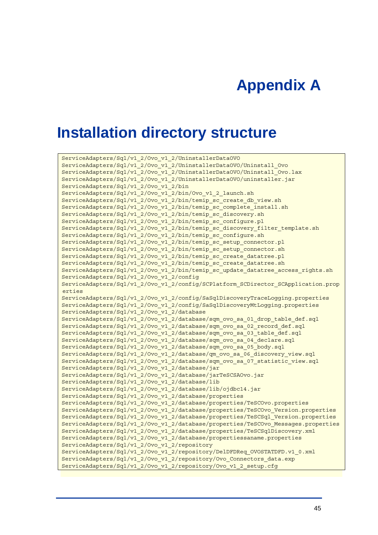# **Appendix A**

# <span id="page-44-0"></span>**Installation directory structure**

```
ServiceAdapters/Sql/v1_2/Ovo_v1_2/UninstallerDataOVO 
ServiceAdapters/Sql/v1_2/Ovo_v1_2/UninstallerDataOVO/Uninstall_Ovo 
ServiceAdapters/Sql/v1_2/Ovo_v1_2/UninstallerDataOVO/Uninstall_Ovo.lax 
ServiceAdapters/Sql/v1_2/Ovo_v1_2/UninstallerDataOVO/uninstaller.jar 
ServiceAdapters/Sql/v1_2/Ovo_v1_2/bin 
ServiceAdapters/Sql/v1_2/Ovo_v1_2/bin/Ovo_v1_2_launch.sh 
ServiceAdapters/Sql/v1_2/Ovo_v1_2/bin/temip_sc_create_db_view.sh 
ServiceAdapters/Sql/v1_2/Ovo_v1_2/bin/temip_sc_complete_install.sh 
ServiceAdapters/Sql/v1_2/Ovo_v1_2/bin/temip_sc_discovery.sh 
ServiceAdapters/Sql/v1_2/Ovo_v1_2/bin/temip_sc_configure.pl 
ServiceAdapters/Sql/v1_2/Ovo_v1_2/bin/temip_sc_discovery_filter_template.sh
ServiceAdapters/Sql/v1_2/Ovo_v1_2/bin/temip_sc_configure.sh 
ServiceAdapters/Sql/v1_2/Ovo_v1_2/bin/temip_sc_setup_connector.pl 
ServiceAdapters/Sql/v1_2/Ovo_v1_2/bin/temip_sc_setup_connector.sh 
ServiceAdapters/Sql/v1_2/Ovo_v1_2/bin/temip_sc_create_datatree.pl 
ServiceAdapters/Sql/v1_2/Ovo_v1_2/bin/temip_sc_create_datatree.sh
ServiceAdapters/Sql/v1_2/Ovo_v1_2/bin/temip_sc_update_datatree_access_rights.sh 
ServiceAdapters/Sql/v1_2/Ovo_v1_2/config 
ServiceAdapters/Sql/v1_2/Ovo_v1_2/config/SCPlatform_SCDirector_SCApplication.prop
erties 
ServiceAdapters/Sql/v1_2/Ovo_v1_2/config/SaSqlDiscoveryTraceLogging.properties 
ServiceAdapters/Sql/v1_2/Ovo_v1_2/config/SaSqlDiscoveryMtLogging.properties 
ServiceAdapters/Sql/v1_2/Ovo_v1_2/database 
ServiceAdapters/Sql/v1_2/Ovo_v1_2/database/sqm_ovo_sa_01_drop_table_def.sql 
ServiceAdapters/Sql/v1_2/Ovo_v1_2/database/sqm_ovo_sa_02_record_def.sql 
ServiceAdapters/Sql/v1_2/Ovo_v1_2/database/sqm_ovo_sa_03_table_def.sql 
ServiceAdapters/Sql/v1_2/Ovo_v1_2/database/sqm_ovo_sa_04_declare.sql 
ServiceAdapters/Sql/v1_2/Ovo_v1_2/database/sqm_ovo_sa_05_body.sql 
ServiceAdapters/Sql/v1_2/Ovo_v1_2/database/qm_ovo_sa_06_discovery_view.sql 
ServiceAdapters/Sql/v1_2/Ovo_v1_2/database/sqm_ovo_sa_07_statistic_view.sql 
ServiceAdapters/Sql/v1_2/Ovo_v1_2/database/jar 
ServiceAdapters/Sql/v1_2/Ovo_v1_2/database/jarTeSCSAOvo.jar 
ServiceAdapters/Sql/v1_2/Ovo_v1_2/database/lib 
ServiceAdapters/Sql/v1_2/Ovo_v1_2/database/lib/ojdbc14.jar 
ServiceAdapters/Sql/v1_2/Ovo_v1_2/database/properties 
ServiceAdapters/Sql/v1_2/Ovo_v1_2/database/properties/TeSCOvo.properties 
ServiceAdapters/Sql/v1_2/Ovo_v1_2/database/properties/TeSCOvo_Version.properties 
ServiceAdapters/Sql/v1_2/Ovo_v1_2/database/properties/TeSCSql_Version.properties 
ServiceAdapters/Sql/v1_2/Ovo_v1_2/database/properties/TeSCOvo_Messages.properties 
ServiceAdapters/Sql/v1_2/Ovo_v1_2/database/properties/TeSCSqlDiscovery.xml 
ServiceAdapters/Sql/v1_2/Ovo_v1_2/database/propertiessaname.properties 
ServiceAdapters/Sql/v1_2/Ovo_v1_2/repository 
ServiceAdapters/Sql/v1_2/Ovo_v1_2/repository/DelDFDReq_OVOSTATDFD.v1_0.xml 
ServiceAdapters/Sql/v1_2/Ovo_v1_2/repository/Ovo_Connectors_data.exp 
ServiceAdapters/Sql/v1_2/Ovo_v1_2/repository/Ovo_v1_2_setup.cfg
```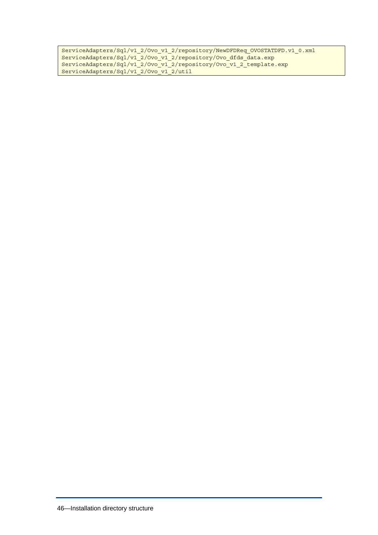```
ServiceAdapters/Sql/v1_2/Ovo_v1_2/repository/NewDFDReq_OVOSTATDFD.v1_0.xml 
ServiceAdapters/Sql/v1_2/Ovo_v1_2/repository/Ovo_dfds_data.exp
ServiceAdapters/Sql/v1_2/Ovo_v1_2/repository/Ovo_v1_2_template.exp 
ServiceAdapters/Sql/v1_2/Ovo_v1_2/util
```